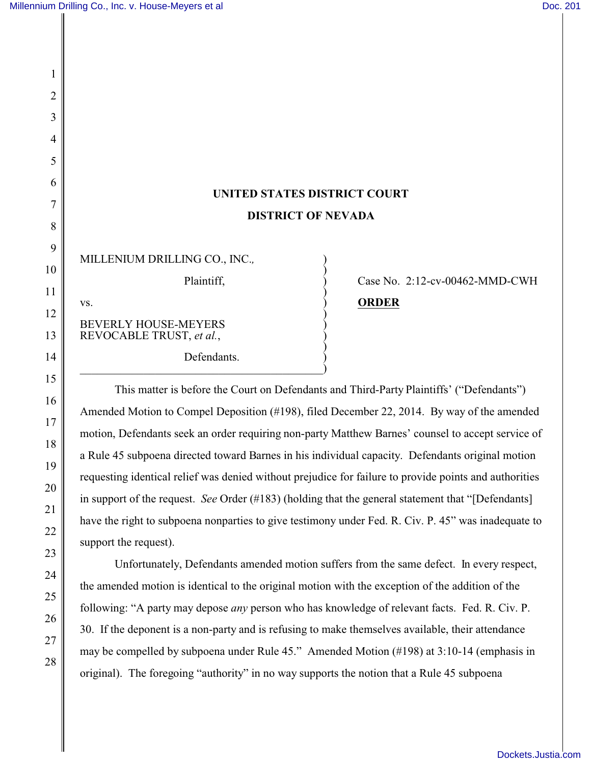## **UNITED STATES DISTRICT COURT DISTRICT OF NEVADA**

| MILLENIUM DRILLING CO., INC.,                           |  |
|---------------------------------------------------------|--|
| Plaintiff,                                              |  |
| VS.                                                     |  |
| <b>BEVERLY HOUSE-MEYERS</b><br>REVOCABLE TRUST, et al., |  |
| Defendants.                                             |  |

 $\hspace{.5cm}$   $\hspace{.5cm}$   $\hspace{.5cm}$   $\hspace{.5cm}$   $\hspace{.5cm}$   $\hspace{.5cm}$   $\hspace{.5cm}$   $\hspace{.5cm}$   $\hspace{.5cm}$   $\hspace{.5cm}$   $\hspace{.5cm}$   $\hspace{.5cm}$   $\hspace{.5cm}$   $\hspace{.5cm}$   $\hspace{.5cm}$   $\hspace{.5cm}$   $\hspace{.5cm}$   $\hspace{.5cm}$   $\hspace{.5cm}$   $\hspace{.5cm}$ 

## Case No.  $2:12$ -cv-00462-MMD-CWH **ORDER**

This matter is before the Court on Defendants and Third-Party Plaintiffs' ("Defendants") Amended Motion to Compel Deposition (#198), filed December 22, 2014. By way of the amended motion, Defendants seek an order requiring non-party Matthew Barnes' counsel to accept service of a Rule 45 subpoena directed toward Barnes in his individual capacity. Defendants original motion requesting identical relief was denied without prejudice for failure to provide points and authorities in support of the request. *See* Order (#183) (holding that the general statement that "[Defendants] have the right to subpoena nonparties to give testimony under Fed. R. Civ. P. 45" was inadequate to support the request).

Unfortunately, Defendants amended motion suffers from the same defect. In every respect, the amended motion is identical to the original motion with the exception of the addition of the following: "A party may depose *any* person who has knowledge of relevant facts. Fed. R. Civ. P. 30. If the deponent is a non-party and is refusing to make themselves available, their attendance may be compelled by subpoena under Rule 45." Amended Motion (#198) at 3:10-14 (emphasis in original). The foregoing "authority" in no way supports the notion that a Rule 45 subpoena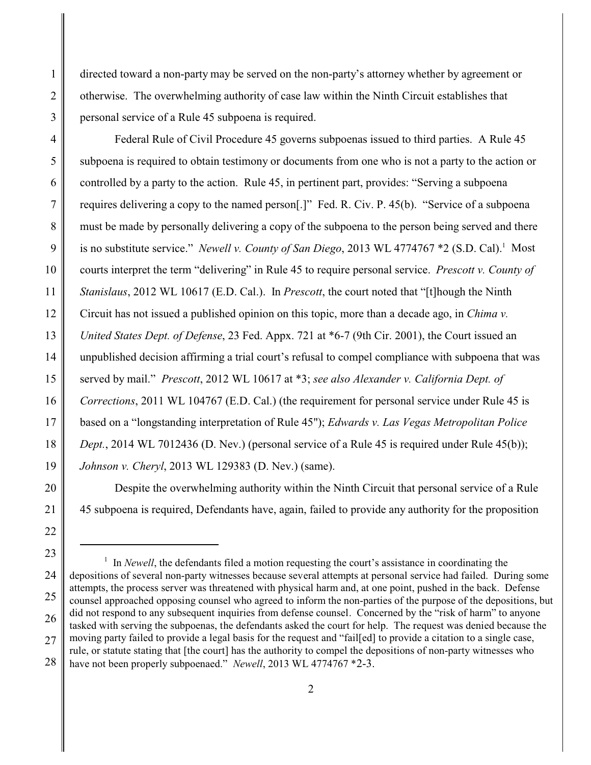directed toward a non-party may be served on the non-party's attorney whether by agreement or otherwise. The overwhelming authority of case law within the Ninth Circuit establishes that personal service of a Rule 45 subpoena is required.

3

1

2

4 5 6 7 8 9 10 11 12 13 14 15 16 17 18 19 Federal Rule of Civil Procedure 45 governs subpoenas issued to third parties. A Rule 45 subpoena is required to obtain testimony or documents from one who is not a party to the action or controlled by a party to the action. Rule 45, in pertinent part, provides: "Serving a subpoena requires delivering a copy to the named person[.]" Fed. R. Civ. P. 45(b). "Service of a subpoena must be made by personally delivering a copy of the subpoena to the person being served and there is no substitute service." *Newell v. County of San Diego*, 2013 WL 4774767 \*2 (S.D. Cal).<sup>1</sup> Most courts interpret the term "delivering" in Rule 45 to require personal service. *Prescott v. County of Stanislaus*, 2012 WL 10617 (E.D. Cal.). In *Prescott*, the court noted that "[t]hough the Ninth Circuit has not issued a published opinion on this topic, more than a decade ago, in *Chima v. United States Dept. of Defense*, 23 Fed. Appx. 721 at \*6-7 (9th Cir. 2001), the Court issued an unpublished decision affirming a trial court's refusal to compel compliance with subpoena that was served by mail." *Prescott*, 2012 WL 10617 at \*3; *see also Alexander v. California Dept. of Corrections*, 2011 WL 104767 (E.D. Cal.) (the requirement for personal service under Rule 45 is based on a "longstanding interpretation of Rule 45"); *Edwards v. Las Vegas Metropolitan Police Dept.*, 2014 WL 7012436 (D. Nev.) (personal service of a Rule 45 is required under Rule 45(b)); *Johnson v. Cheryl*, 2013 WL 129383 (D. Nev.) (same).

Despite the overwhelming authority within the Ninth Circuit that personal service of a Rule 45 subpoena is required, Defendants have, again, failed to provide any authority for the proposition

20

21

22

<sup>23</sup>

<sup>24</sup> 25 26 27 28 <sup>1</sup> In *Newell*, the defendants filed a motion requesting the court's assistance in coordinating the depositions of several non-party witnesses because several attempts at personal service had failed. During some attempts, the process server was threatened with physical harm and, at one point, pushed in the back. Defense counsel approached opposing counsel who agreed to inform the non-parties of the purpose of the depositions, but did not respond to any subsequent inquiries from defense counsel. Concerned by the "risk of harm" to anyone tasked with serving the subpoenas, the defendants asked the court for help. The request was denied because the moving party failed to provide a legal basis for the request and "fail[ed] to provide a citation to a single case, rule, or statute stating that [the court] has the authority to compel the depositions of non-party witnesses who have not been properly subpoenaed." *Newell*, 2013 WL 4774767 \*2-3.